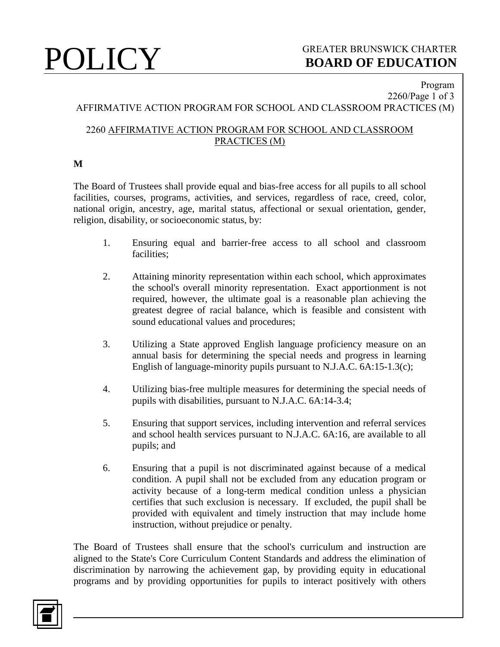#### Program 2260/Page 1 of 3

# AFFIRMATIVE ACTION PROGRAM FOR SCHOOL AND CLASSROOM PRACTICES (M)

### 2260 AFFIRMATIVE ACTION PROGRAM FOR SCHOOL AND CLASSROOM PRACTICES (M)

### **M**

The Board of Trustees shall provide equal and bias-free access for all pupils to all school facilities, courses, programs, activities, and services, regardless of race, creed, color, national origin, ancestry, age, marital status, affectional or sexual orientation, gender, religion, disability, or socioeconomic status, by:

- 1. Ensuring equal and barrier-free access to all school and classroom facilities;
- 2. Attaining minority representation within each school, which approximates the school's overall minority representation. Exact apportionment is not required, however, the ultimate goal is a reasonable plan achieving the greatest degree of racial balance, which is feasible and consistent with sound educational values and procedures;
- 3. Utilizing a State approved English language proficiency measure on an annual basis for determining the special needs and progress in learning English of language-minority pupils pursuant to N.J.A.C. 6A:15-1.3(c);
- 4. Utilizing bias-free multiple measures for determining the special needs of pupils with disabilities, pursuant to N.J.A.C. 6A:14-3.4;
- 5. Ensuring that support services, including intervention and referral services and school health services pursuant to N.J.A.C. 6A:16, are available to all pupils; and
- 6. Ensuring that a pupil is not discriminated against because of a medical condition. A pupil shall not be excluded from any education program or activity because of a long-term medical condition unless a physician certifies that such exclusion is necessary. If excluded, the pupil shall be provided with equivalent and timely instruction that may include home instruction, without prejudice or penalty.

The Board of Trustees shall ensure that the school's curriculum and instruction are aligned to the State's Core Curriculum Content Standards and address the elimination of discrimination by narrowing the achievement gap, by providing equity in educational programs and by providing opportunities for pupils to interact positively with others

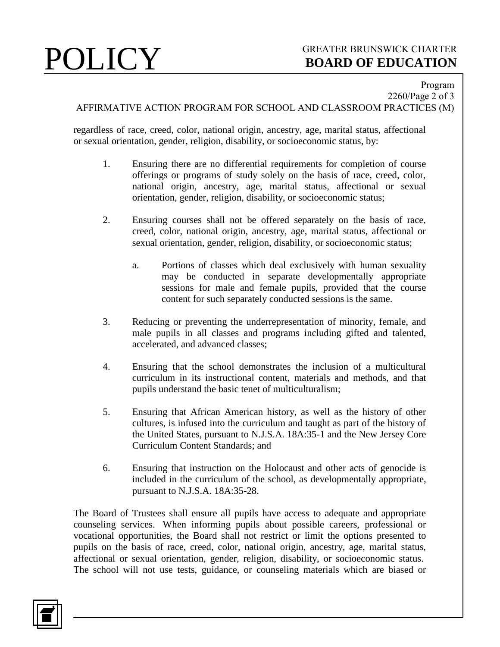## **POLICY** GREATER BRUNSWICK CHARTER<br>BOARD OF EDUCATION **BOARD OF EDUCATION**

Program

2260/Page 2 of 3 AFFIRMATIVE ACTION PROGRAM FOR SCHOOL AND CLASSROOM PRACTICES (M)

regardless of race, creed, color, national origin, ancestry, age, marital status, affectional or sexual orientation, gender, religion, disability, or socioeconomic status, by:

- 1. Ensuring there are no differential requirements for completion of course offerings or programs of study solely on the basis of race, creed, color, national origin, ancestry, age, marital status, affectional or sexual orientation, gender, religion, disability, or socioeconomic status;
- 2. Ensuring courses shall not be offered separately on the basis of race, creed, color, national origin, ancestry, age, marital status, affectional or sexual orientation, gender, religion, disability, or socioeconomic status;
	- a. Portions of classes which deal exclusively with human sexuality may be conducted in separate developmentally appropriate sessions for male and female pupils, provided that the course content for such separately conducted sessions is the same.
- 3. Reducing or preventing the underrepresentation of minority, female, and male pupils in all classes and programs including gifted and talented, accelerated, and advanced classes;
- 4. Ensuring that the school demonstrates the inclusion of a multicultural curriculum in its instructional content, materials and methods, and that pupils understand the basic tenet of multiculturalism;
- 5. Ensuring that African American history, as well as the history of other cultures, is infused into the curriculum and taught as part of the history of the United States, pursuant to N.J.S.A. 18A:35-1 and the New Jersey Core Curriculum Content Standards; and
- 6. Ensuring that instruction on the Holocaust and other acts of genocide is included in the curriculum of the school, as developmentally appropriate, pursuant to N.J.S.A. 18A:35-28.

The Board of Trustees shall ensure all pupils have access to adequate and appropriate counseling services. When informing pupils about possible careers, professional or vocational opportunities, the Board shall not restrict or limit the options presented to pupils on the basis of race, creed, color, national origin, ancestry, age, marital status, affectional or sexual orientation, gender, religion, disability, or socioeconomic status. The school will not use tests, guidance, or counseling materials which are biased or